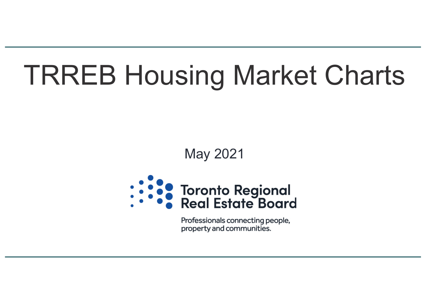# TRREB Housing Market Charts

### May 2021



Professionals connecting people, property and communities.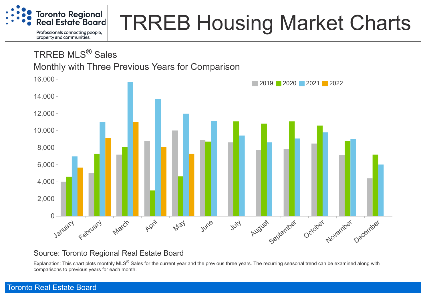

# TRREB Housing Market Charts

TRREB MLS® Sales

Monthly with Three Previous Years for Comparison



#### Source: Toronto Regional Real Estate Board

Explanation: This chart plots monthly MLS<sup>®</sup> Sales for the current year and the previous three years. The recurring seasonal trend can be examined along with comparisons to previous years for each month.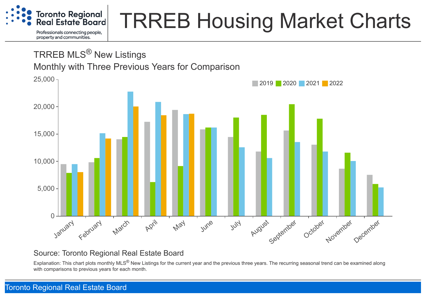

## TRREB Housing Market Charts

### TRREB MLS® New Listings

Monthly with Three Previous Years for Comparison



#### Source: Toronto Regional Real Estate Board

Explanation: This chart plots monthly MLS<sup>®</sup> New Listings for the current year and the previous three years. The recurring seasonal trend can be examined along with comparisons to previous years for each month.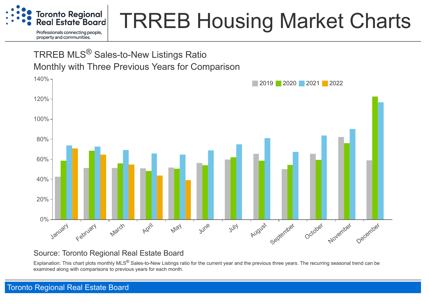

## TRREB Housing Market Charts

### TRREB MLS® Sales-to-New Listings Ratio Monthly with Three Previous Years for Comparison



#### Source: Toronto Regional Real Estate Board

Explanation: This chart plots monthly MLS<sup>®</sup> Sales-to-New Listings ratio for the current year and the previous three years. The recurring seasonal trend can be examined along with comparisons to previous years for each month.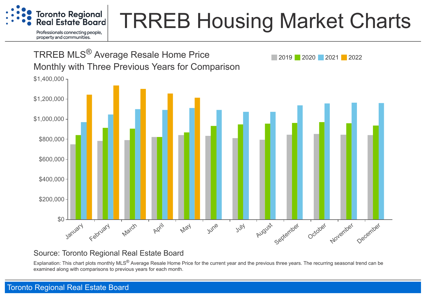

### TRREB Housing Market Charts



#### Source: Toronto Regional Real Estate Board

Explanation: This chart plots monthly MLS<sup>®</sup> Average Resale Home Price for the current year and the previous three years. The recurring seasonal trend can be examined along with comparisons to previous years for each month.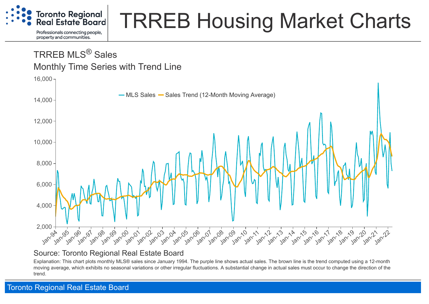

# TRREB Housing Market Charts

### TRREB MLS® Sales Monthly Time Series with Trend Line



#### Source: Toronto Regional Real Estate Board

Explanation: This chart plots monthly MLS® sales since January 1994. The purple line shows actual sales. The brown line is the trend computed using a 12-month moving average, which exhibits no seasonal variations or other irregular fluctuations. A substantial change in actual sales must occur to change the direction of the trend.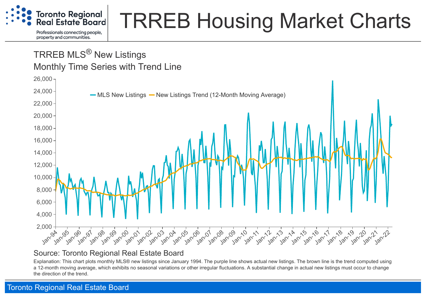

# TRREB Housing Market Charts

### TRREB MLS<sup>®</sup> New Listings Monthly Time Series with Trend Line



#### Source: Toronto Regional Real Estate Board

Explanation: This chart plots monthly MLS® new listings since January 1994. The purple line shows actual new listings. The brown line is the trend computed using a 12-month moving average, which exhibits no seasonal variations or other irregular fluctuations. A substantial change in actual new listings must occur to change the direction of the trend.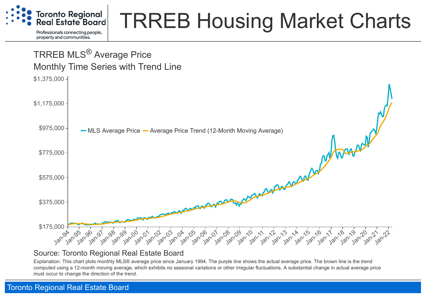

# TRREB Housing Market Charts

### Jan-94 Jan-95 Jan-96 Jan-97 Jan-98 Jan-99 Jan-00 Jan-01 Jan-02 Jan-03 Jan-04 Jan-05 Jan-06 Jan-07 Jan-08 Jan-09 Jan-10 Jan-11 Jan-12 Jan-13 Jan-14 Jan-15 Jan-16 Jan-17 1 18 19 12 12 12 12 \$175,000 \$375,000 \$575,000 \$775,000 \$975,000 \$1,175,000 \$1,375,000 MLS Average Price — Average Price Trend (12-Month Moving Average) TRREB MLS® Average Price Monthly Time Series with Trend Line

#### Source: Toronto Regional Real Estate Board

Explanation: This chart plots monthly MLS® average price since January 1994. The purple line shows the actual average price. The brown line is the trend computed using a 12-month moving average, which exhibits no seasonal variations or other irregular fluctuations. A substantial change in actual average price must occur to change the direction of the trend.